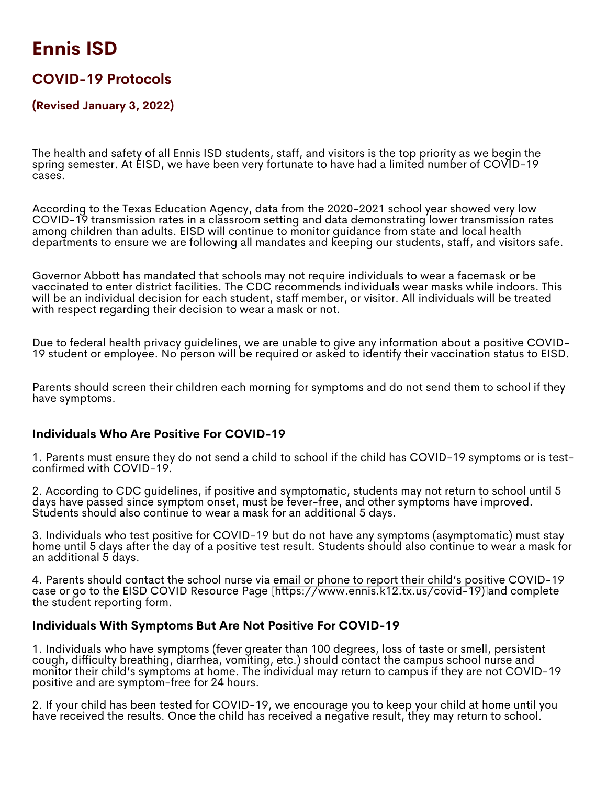# **Ennis ISD**

## **COVID-19 Protocols**

#### **(Revised January 3, 2022)**

The health and safety of all Ennis ISD students, staff, and visitors is the top priority as we begin the spring semester. At EISD, we have been very fortunate to have had a limited number of COVID-19 cases.

According to the Texas Education Agency, data from the 2020-2021 school year showed very low COVID-19 transmission rates in a classroom setting and data demonstrating lower transmission rates among children than adults. EISD will continue to monitor guidance from state and local health departments to ensure we are following all mandates and keeping our students, staff, and visitors safe.

Governor Abbott has mandated that schools may not require individuals to wear a facemask or be vaccinated to enter district facilities. The CDC recommends individuals wear masks while indoors. This will be an individual decision for each student, staff member, or visitor. All individuals will be treated with respect regarding their decision to wear a mask or not.

Due to federal health privacy guidelines, we are unable to give any information about a positive COVID-19 student or employee. No person will be required or asked to identify their vaccination status to EISD.

Parents should screen their children each morning for symptoms and do not send them to school if they have symptoms.

#### **Individuals Who Are Positive For COVID-19**

1. Parents must ensure they do not send a child to school if the child has COVID-19 symptoms or is testconfirmed with COVID-19.

2. According to CDC guidelines, if positive and symptomatic, students may not return to school until 5 days have passed since symptom onset, must be fever-free, and other symptoms have improved. Students should also continue to wear a mask for an additional 5 days.

3. Individuals who test positive for COVID-19 but do not have any symptoms (asymptomatic) must stay home until 5 days after the day of a positive test result. Students should also continue to wear a mask for an additional 5 days.

4. Parents should contact the school nurse via email or phone to report their child's positive COVID-19 case or go to the EISD COVID Resource Page [\(https://www.ennis.k12.tx.us/covid-19\)](https://www.ennis.k12.tx.us/covid-19) and complete the student reporting form.

#### **Individuals With Symptoms But Are Not Positive For COVID-19**

1. Individuals who have symptoms (fever greater than 100 degrees, loss of taste or smell, persistent cough, difficulty breathing, diarrhea, vomiting, etc.) should contact the campus school nurse and monitor their child's symptoms at home. The individual may return to campus if they are not COVID-19 positive and are symptom-free for 24 hours.

2. If your child has been tested for COVID-19, we encourage you to keep your child at home until you have received the results. Once the child has received a negative result, they may return to school.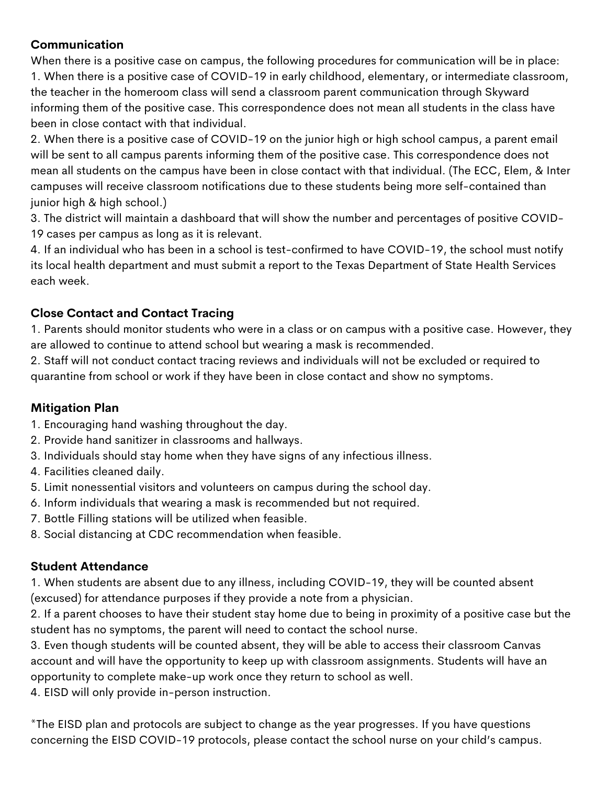#### **Communication**

When there is a positive case on campus, the following procedures for communication will be in place: 1. When there is a positive case of COVID-19 in early childhood, elementary, or intermediate classroom, the teacher in the homeroom class will send a classroom parent communication through Skyward informing them of the positive case. This correspondence does not mean all students in the class have been in close contact with that individual.

2. When there is a positive case of COVID-19 on the junior high or high school campus, a parent email will be sent to all campus parents informing them of the positive case. This correspondence does not mean all students on the campus have been in close contact with that individual. (The ECC, Elem, & Inter campuses will receive classroom notifications due to these students being more self-contained than junior high & high school.)

3. The district will maintain a dashboard that will show the number and percentages of positive COVID-19 cases per campus as long as it is relevant.

4. If an individual who has been in a school is test-confirmed to have COVID-19, the school must notify its local health department and must submit a report to the Texas Department of State Health Services each week.

### **Close Contact and Contact Tracing**

1. Parents should monitor students who were in a class or on campus with a positive case. However, they are allowed to continue to attend school but wearing a mask is recommended.

2. Staff will not conduct contact tracing reviews and individuals will not be excluded or required to quarantine from school or work if they have been in close contact and show no symptoms.

### **Mitigation Plan**

- 1. Encouraging hand washing throughout the day.
- 2. Provide hand sanitizer in classrooms and hallways.
- 3. Individuals should stay home when they have signs of any infectious illness.
- 4. Facilities cleaned daily.
- 5. Limit nonessential visitors and volunteers on campus during the school day.
- 6. Inform individuals that wearing a mask is recommended but not required.
- 7. Bottle Filling stations will be utilized when feasible.
- 8. Social distancing at CDC recommendation when feasible.

### **Student Attendance**

1. When students are absent due to any illness, including COVID-19, they will be counted absent (excused) for attendance purposes if they provide a note from a physician.

2. If a parent chooses to have their student stay home due to being in proximity of a positive case but the student has no symptoms, the parent will need to contact the school nurse.

3. Even though students will be counted absent, they will be able to access their classroom Canvas account and will have the opportunity to keep up with classroom assignments. Students will have an opportunity to complete make-up work once they return to school as well.

4. EISD will only provide in-person instruction.

\*The EISD plan and protocols are subject to change as the year progresses. If you have questions concerning the EISD COVID-19 protocols, please contact the school nurse on your child's campus.